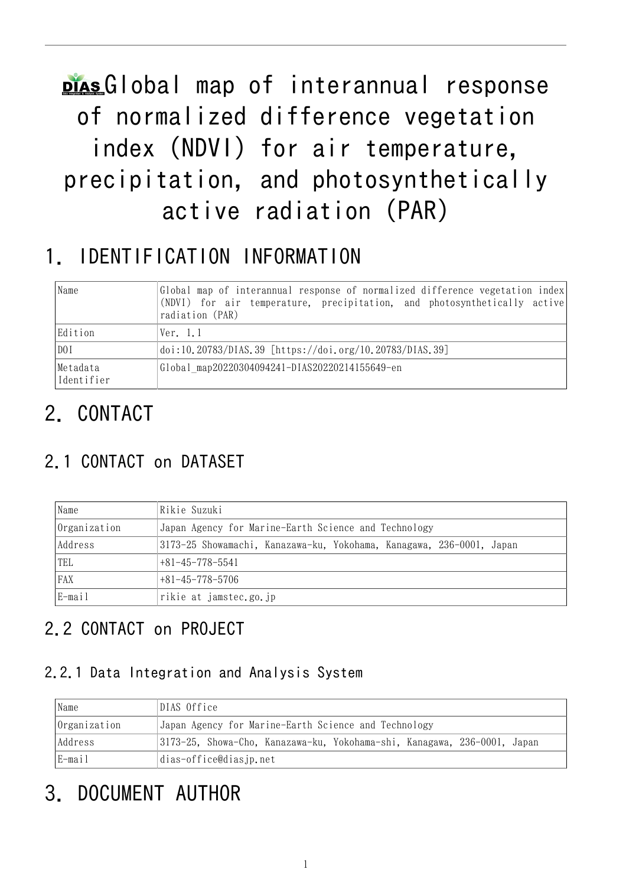# plasGlobal map of interannual response of normalized difference vegetation index (NDVI) for air temperature, precipitation, and photosynthetically active radiation (PAR)

# 1. IDENTIFICATION INFORMATION

| Name                   | Global map of interannual response of normalized difference vegetation index<br>(NDVI) for air temperature, precipitation, and photosynthetically active<br>radiation (PAR) |  |  |
|------------------------|-----------------------------------------------------------------------------------------------------------------------------------------------------------------------------|--|--|
| Edition                | Ver. 1.1                                                                                                                                                                    |  |  |
| DO I                   | doi:10.20783/DIAS.39 [https://doi.org/10.20783/DIAS.39]                                                                                                                     |  |  |
| Metadata<br>Identifier | Global map20220304094241-DIAS20220214155649-en                                                                                                                              |  |  |

# 2. CONTACT

## 2.1 CONTACT on DATASET

| Name         | Rikie Suzuki                                                         |  |  |
|--------------|----------------------------------------------------------------------|--|--|
| Organization | Japan Agency for Marine-Earth Science and Technology                 |  |  |
| Address      | 3173-25 Showamachi, Kanazawa-ku, Yokohama, Kanagawa, 236-0001, Japan |  |  |
| TEL          | $+81 - 45 - 778 - 5541$                                              |  |  |
| FAX          | $+81 - 45 - 778 - 5706$                                              |  |  |
| $E$ -mail    | rikie at jamstec.go.jp                                               |  |  |

## 2.2 CONTACT on PROJECT

#### 2.2.1 Data Integration and Analysis System

| Name         | DIAS Office                                                              |  |  |
|--------------|--------------------------------------------------------------------------|--|--|
| Organization | Japan Agency for Marine-Earth Science and Technology                     |  |  |
| Address      | 3173-25, Showa-Cho, Kanazawa-ku, Yokohama-shi, Kanagawa, 236-0001, Japan |  |  |
| E-mail       | dias-office@diasjp.net                                                   |  |  |

# 3. DOCUMENT AUTHOR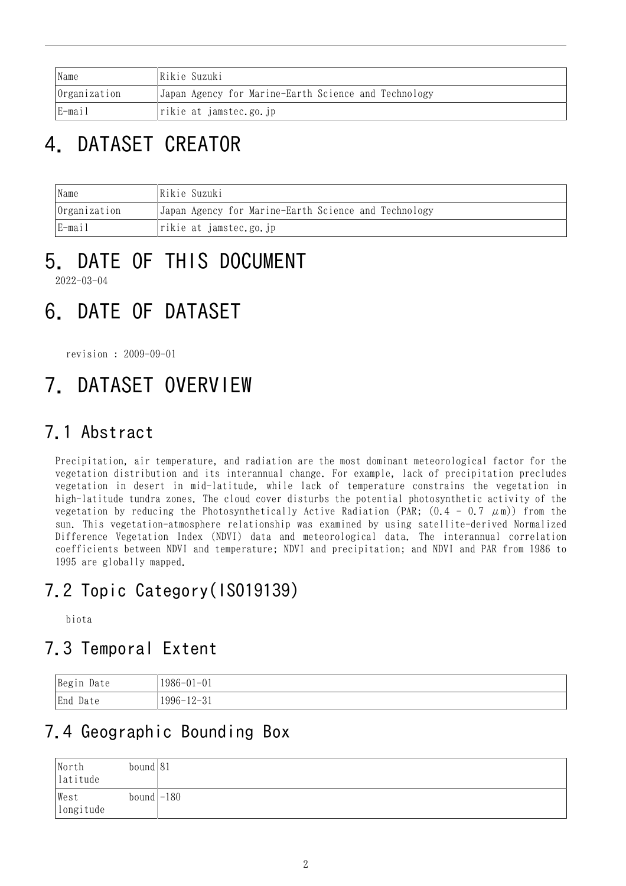| Name                             | Rikie Suzuki                                         |
|----------------------------------|------------------------------------------------------|
| Organization                     | Japan Agency for Marine-Earth Science and Technology |
| E-mail<br>rikie at jamstec.go.jp |                                                      |

# 4. DATASET CREATOR

| Name<br> Rikie Suzuki |                                                      |  |
|-----------------------|------------------------------------------------------|--|
| $ 0$ rganization      | Japan Agency for Marine-Earth Science and Technology |  |
| E-mail                | rikie at jamstec.go.jp                               |  |

#### 5. DATE OF THIS DOCUMENT 2022-03-04

# 6. DATE OF DATASET

revision : 2009-09-01

# 7. DATASET OVERVIEW

## 7.1 Abstract

Precipitation, air temperature, and radiation are the most dominant meteorological factor for the vegetation distribution and its interannual change. For example, lack of precipitation precludes vegetation in desert in mid-latitude, while lack of temperature constrains the vegetation in high-latitude tundra zones. The cloud cover disturbs the potential photosynthetic activity of the vegetation by reducing the Photosynthetically Active Radiation (PAR;  $(0.4 - 0.7 \mu m)$ ) from the sun. This vegetation-atmosphere relationship was examined by using satellite-derived Normalized Difference Vegetation Index (NDVI) data and meteorological data. The interannual correlation coefficients between NDVI and temperature; NDVI and precipitation; and NDVI and PAR from 1986 to 1995 are globally mapped.

## 7.2 Topic Category(ISO19139)

biota

## 7.3 Temporal Extent

| Begin<br>Date | $1986 - 01 - 01$                                            |
|---------------|-------------------------------------------------------------|
| End<br>Date   | $1996 -$<br><u>ົດ *</u><br>1 ດ<br>フード<br>- 01<br>$\sqrt{2}$ |

## 7.4 Geographic Bounding Box

| North<br>$\vert$ latitude | bound 81     |  |
|---------------------------|--------------|--|
| West<br>longitude         | $bound$ -180 |  |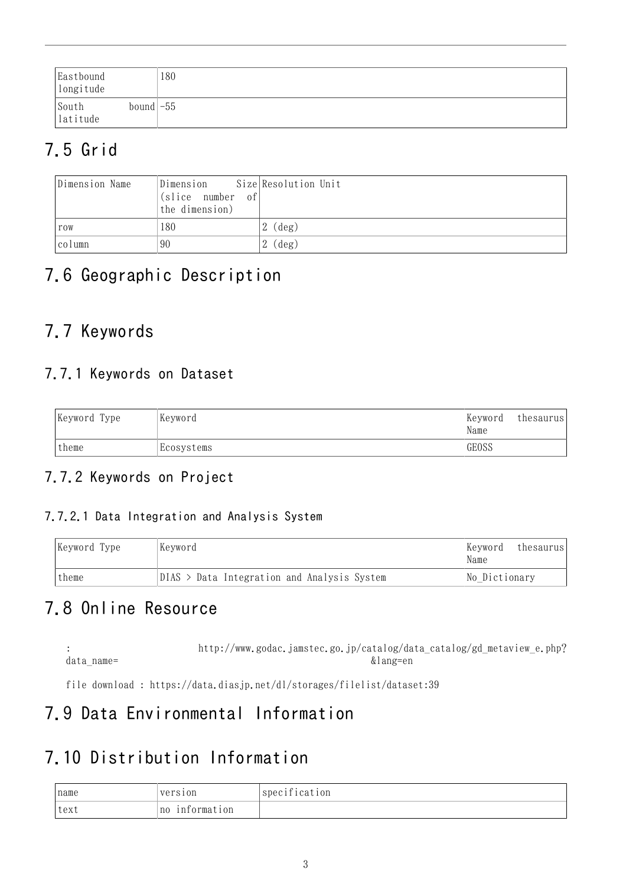| Eastbound<br>longitude |                            | 180 |
|------------------------|----------------------------|-----|
| South<br>latitude      | bound $\left  -55 \right $ |     |

## 7.5 Grid

| Dimension Name | Dimension<br>$\vert$ (slice number of<br>the dimension) | Size Resolution Unit |
|----------------|---------------------------------------------------------|----------------------|
| row            | 180                                                     | (deg)                |
| column         | 90                                                      | (deg)                |

## 7.6 Geographic Description

## 7.7 Keywords

#### 7.7.1 Keywords on Dataset

| Keyword Type | Keyword    | Keyword<br>Name | thesaurus |
|--------------|------------|-----------------|-----------|
| theme        | Ecosystems | GEOSS           |           |

#### 7.7.2 Keywords on Project

#### 7.7.2.1 Data Integration and Analysis System

| Keyword Type<br>Keyword |                                               | Keyword<br>thesaurus<br>Name |
|-------------------------|-----------------------------------------------|------------------------------|
| theme                   | $DIAS$ > Data Integration and Analysis System | No Dictionary                |

## 7.8 Online Resource

: [http://www.godac.jamstec.go.jp/catalog/data\\_catalog/gd\\_metaview\\_e.php?](http://www.godac.jamstec.go.jp/catalog/data_catalog/gd_metaview_e.php?data_name=生態系連動マップ&lang=en) data\_name=  $\&$  lang=en

file download : <https://data.diasjp.net/dl/storages/filelist/dataset:39>

## 7.9 Data Environmental Information

#### 7.10 Distribution Information

| Iname | version           | specification |
|-------|-------------------|---------------|
| text  | information<br>n0 |               |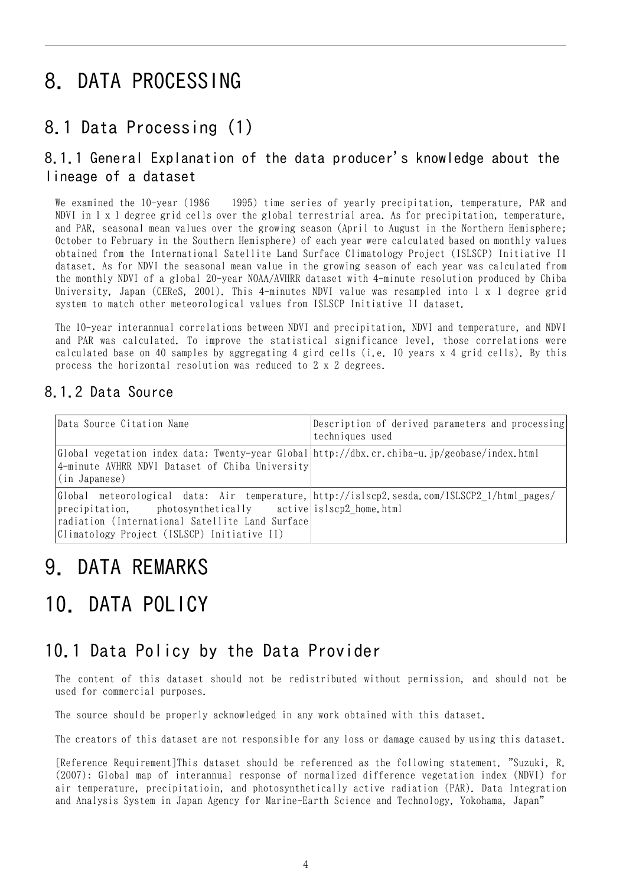## 8. DATA PROCESSING

#### 8.1 Data Processing (1)

#### 8.1.1 General Explanation of the data producer's knowledge about the lineage of a dataset

We examined the 10-year (1986 1995) time series of yearly precipitation, temperature, PAR and NDVI in 1 x 1 degree grid cells over the global terrestrial area. As for precipitation, temperature, and PAR, seasonal mean values over the growing season (April to August in the Northern Hemisphere; October to February in the Southern Hemisphere) of each year were calculated based on monthly values obtained from the International Satellite Land Surface Climatology Project (ISLSCP) Initiative II dataset. As for NDVI the seasonal mean value in the growing season of each year was calculated from the monthly NDVI of a global 20-year NOAA/AVHRR dataset with 4-minute resolution produced by Chiba University, Japan (CEReS, 2001). This 4-minutes NDVI value was resampled into 1 x 1 degree grid system to match other meteorological values from ISLSCP Initiative II dataset.

The 10-year interannual correlations between NDVI and precipitation, NDVI and temperature, and NDVI and PAR was calculated. To improve the statistical significance level, those correlations were calculated base on 40 samples by aggregating 4 gird cells (i.e. 10 years x 4 grid cells). By this process the horizontal resolution was reduced to 2 x 2 degrees.

#### 8.1.2 Data Source

| Data Source Citation Name                                                                                                                                                                                                                                    | Description of derived parameters and processing<br>techniques used |
|--------------------------------------------------------------------------------------------------------------------------------------------------------------------------------------------------------------------------------------------------------------|---------------------------------------------------------------------|
| Global vegetation index data: Twenty-year Global http://dbx.cr.chiba-u.jp/geobase/index.html<br>4-minute AVHRR NDVI Dataset of Chiba University<br>(in Japanese)                                                                                             |                                                                     |
| Global meteorological data: Air temperature, http://islscp2.sesda.com/ISLSCP2 1/html pages/<br>precipitation, photosynthetically active is lscp2 home.html<br>radiation (International Satellite Land Surface<br>Climatology Project (ISLSCP) Initiative II) |                                                                     |

## 9. DATA REMARKS

# 10. DATA POLICY

#### 10.1 Data Policy by the Data Provider

The content of this dataset should not be redistributed without permission, and should not be used for commercial purposes.

The source should be properly acknowledged in any work obtained with this dataset.

The creators of this dataset are not responsible for any loss or damage caused by using this dataset.

[Reference Requirement]This dataset should be referenced as the following statement. "Suzuki, R. (2007): Global map of interannual response of normalized difference vegetation index (NDVI) for air temperature, precipitatioin, and photosynthetically active radiation (PAR). Data Integration and Analysis System in Japan Agency for Marine-Earth Science and Technology, Yokohama, Japan"